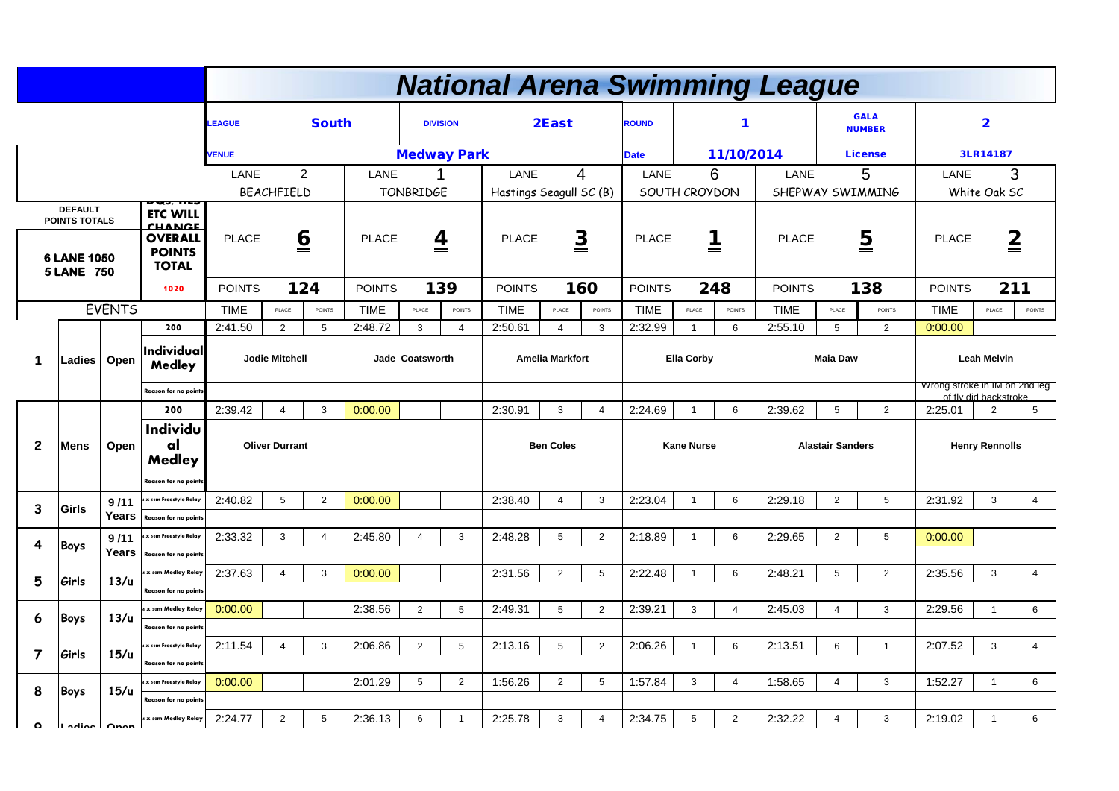|                |                                                                                                                                     |               |                                              |                   |                             |                  |               |                         |                         | <b>National Arena Swimming League</b> |                  |                   |                  |                   |                                         |                               |                         |                                            |                    |                         |                 |
|----------------|-------------------------------------------------------------------------------------------------------------------------------------|---------------|----------------------------------------------|-------------------|-----------------------------|------------------|---------------|-------------------------|-------------------------|---------------------------------------|------------------|-------------------|------------------|-------------------|-----------------------------------------|-------------------------------|-------------------------|--------------------------------------------|--------------------|-------------------------|-----------------|
|                |                                                                                                                                     |               |                                              | <b>LEAGUE</b>     |                             | <b>South</b>     |               |                         | <b>DIVISION</b>         |                                       | 2East            |                   | <b>ROUND</b>     |                   |                                         |                               |                         | <b>GALA</b><br><b>NUMBER</b>               |                    | $\overline{\mathbf{2}}$ |                 |
|                |                                                                                                                                     |               |                                              | <b>VENUE</b>      |                             |                  |               |                         | <b>Medway Park</b>      |                                       |                  |                   | <b>Date</b>      |                   | 11/10/2014                              |                               |                         | <b>License</b>                             |                    | 3LR14187                |                 |
|                |                                                                                                                                     |               |                                              | <b>LANE</b>       |                             | $\overline{2}$   | <b>LANE</b>   |                         |                         | <b>LANE</b>                           |                  | $\overline{4}$    | <b>LANE</b>      | 6                 |                                         | <b>LANE</b>                   |                         | 5                                          | <b>LANE</b>        | 3                       |                 |
|                |                                                                                                                                     |               | рчэ, пе                                      | <b>BEACHFIELD</b> |                             | <b>TONBRIDGE</b> |               |                         | Hastings Seagull SC (B) |                                       | SOUTH CROYDON    |                   | SHEPWAY SWIMMING |                   | White Oak SC                            |                               |                         |                                            |                    |                         |                 |
|                | <b>DEFAULT</b>                                                                                                                      |               | <b>ETC WILL</b>                              |                   |                             |                  |               |                         |                         |                                       |                  |                   |                  |                   |                                         |                               |                         |                                            |                    |                         |                 |
|                | <b>POINTS TOTALS</b><br><b>CHANCE</b><br><b>OVERALL</b><br><b>POINTS</b><br><b>6 LANE 1050</b><br><b>TOTAL</b><br><b>5 LANE 750</b> |               | <b>PLACE</b>                                 |                   | $\underline{\underline{6}}$ | <b>PLACE</b>     |               | $\overline{\mathbf{4}}$ | <b>PLACE</b>            | $\underline{\underline{3}}$           |                  | <b>PLACE</b>      | 1<br>==          |                   | $\overline{\mathbf{5}}$<br><b>PLACE</b> |                               |                         | $\overline{\underline{2}}$<br><b>PLACE</b> |                    |                         |                 |
|                |                                                                                                                                     |               | 1020                                         | <b>POINTS</b>     |                             | 124              | <b>POINTS</b> |                         | 139                     | <b>POINTS</b>                         |                  | 160               | <b>POINTS</b>    | 248               |                                         | <b>POINTS</b>                 |                         | 138                                        | <b>POINTS</b>      | 211                     |                 |
|                |                                                                                                                                     | <b>EVENTS</b> |                                              | <b>TIME</b>       | PLACE                       | <b>POINTS</b>    | <b>TIME</b>   | PLACE                   | POINTS                  | <b>TIME</b>                           | PLACE            | <b>POINTS</b>     | <b>TIME</b>      | PLACE             | POINTS                                  | <b>TIME</b>                   | PLACE                   | <b>POINTS</b>                              | <b>TIME</b>        | PLACE                   | <b>POINTS</b>   |
|                |                                                                                                                                     |               | 200                                          | 2:41.50           | $\overline{2}$              | $5\overline{)}$  | 2:48.72       | $\mathbf{3}$            | $\overline{4}$          | 2:50.61                               | $\overline{4}$   | 3                 | 2:32.99          |                   | 6                                       | 2:55.10                       | 5                       | $\overline{2}$                             | 0:00.00            |                         |                 |
| 1              | Individual<br>Open<br>Ladies<br><b>Medley</b><br><b>Reason for no points</b>                                                        |               | <b>Jodie Mitchell</b>                        |                   |                             | Jade Coatsworth  |               |                         | <b>Amelia Markfort</b>  |                                       |                  | <b>Ella Corby</b> |                  |                   |                                         | <b>Maia Daw</b>               |                         |                                            | <b>Leah Melvin</b> |                         |                 |
|                |                                                                                                                                     |               |                                              |                   |                             |                  |               |                         |                         |                                       |                  |                   |                  |                   |                                         | Wrong stroke in IM on 2nd leg | of fly did backstroke.  |                                            |                    |                         |                 |
|                |                                                                                                                                     |               | 200                                          | 2:39.42           | 4                           | $\mathbf{3}$     | 0:00.00       |                         |                         | 2:30.91                               | $\mathbf{3}$     | $\overline{4}$    | 2:24.69          |                   | 6                                       | 2:39.62                       | 5                       | $\overline{2}$                             | 2:25.01            | $\overline{2}$          | 5               |
| $\overline{c}$ | <b>Mens</b>                                                                                                                         | Open          | <b>Individu</b><br>al<br><b>Medley</b>       |                   | <b>Oliver Durrant</b>       |                  |               |                         |                         |                                       | <b>Ben Coles</b> |                   |                  | <b>Kane Nurse</b> |                                         |                               | <b>Alastair Sanders</b> |                                            |                    | <b>Henry Rennolls</b>   |                 |
|                |                                                                                                                                     |               | <b>Reason for no points</b>                  |                   |                             |                  |               |                         |                         |                                       |                  |                   |                  |                   |                                         |                               |                         |                                            |                    |                         |                 |
| $\overline{3}$ | <b>Girls</b>                                                                                                                        | 9/11          | 4 x som Freestyle Relay                      | 2:40.82           | 5                           | $\overline{2}$   | 0:00.00       |                         |                         | 2:38.40                               |                  | 3 <sup>1</sup>    | 2:23.04          |                   | $6\phantom{1}$                          | 2:29.18                       | $\overline{2}$          | 5                                          | 2:31.92            | 3                       | 4               |
|                |                                                                                                                                     |               | Years   Reason for no points                 |                   |                             |                  |               |                         |                         |                                       |                  |                   |                  |                   |                                         |                               |                         |                                            |                    |                         |                 |
| 4              | Boys                                                                                                                                | 9/11          | 4 x som Freestyle Relay                      | 2:33.32           | $\mathbf{3}$                | $\overline{4}$   | 2:45.80       | $\Delta$                | 3 <sup>1</sup>          | 2:48.28                               | $5^{\circ}$      | $2^{\circ}$       | 2:18.89          |                   | $6\overline{6}$                         | 2:29.65                       | $\overline{2}$          | 5 <sup>5</sup>                             | 0:00.00            |                         |                 |
|                |                                                                                                                                     | Years         | Reason for no points<br>4 x som Medley Relay |                   |                             |                  |               |                         |                         |                                       |                  |                   |                  |                   |                                         |                               |                         |                                            |                    |                         |                 |
| 5              | Girls                                                                                                                               | 13/u          | <b>Reason for no points</b>                  | 2:37.63           |                             | $\mathbf{3}$     | 0:00.00       |                         |                         | 2:31.56                               | $\overline{2}$   | $5\overline{)}$   | 2:22.48          |                   | 6                                       | 2:48.21                       | 5                       | $\overline{2}$                             | 2:35.56            | 3                       | $\overline{4}$  |
|                |                                                                                                                                     |               | 4 x som Medley Relay                         | 0:00.00           |                             |                  | 2:38.56       | $\overline{2}$          | 5 <sup>5</sup>          | 2:49.31                               | $5\overline{)}$  | $2^{\circ}$       | 2:39.21          | $\mathbf{3}$      | $\overline{4}$                          | 2:45.03                       | 4                       | $\mathbf{3}$                               | 2:29.56            | $\overline{\mathbf{1}}$ | 6               |
| 6              | Boys                                                                                                                                | 13/u          | <b>Reason for no points</b>                  |                   |                             |                  |               |                         |                         |                                       |                  |                   |                  |                   |                                         |                               |                         |                                            |                    |                         |                 |
|                |                                                                                                                                     |               | 4 x som Freestyle Relay                      | 2:11.54           |                             | $\mathbf{3}$     | 2:06.86       | $\overline{2}$          | 5                       | 2:13.16                               | 5                | $2^{\circ}$       | 2:06.26          |                   | 6                                       | 2:13.51                       | 6                       | $\mathbf{1}$                               | 2:07.52            | $\mathbf{3}$            | $\overline{4}$  |
| $\overline{7}$ | Girls                                                                                                                               | 15/u          | <b>Reason for no points</b>                  |                   |                             |                  |               |                         |                         |                                       |                  |                   |                  |                   |                                         |                               |                         |                                            |                    |                         |                 |
| 8              |                                                                                                                                     | 15/u          | 4 x som Freestyle Relay                      | 0:00.00           |                             |                  | 2:01.29       | 5                       | 2 <sup>7</sup>          | 1:56.26                               | $\overline{2}$   | $5\overline{)}$   | 1:57.84          | 3 <sup>1</sup>    | $\overline{4}$                          | 1:58.65                       |                         | 3                                          | 1:52.27            |                         | 6               |
|                | Boys                                                                                                                                |               | <b>Reason for no points</b>                  |                   |                             |                  |               |                         |                         |                                       |                  |                   |                  |                   |                                         |                               |                         |                                            |                    |                         |                 |
| $\circ$        | II saine I Anan                                                                                                                     |               | 4 x som Medley Relay                         | 2:24.77           | $\overline{2}$              | $5\phantom{.0}$  | 2:36.13       | 6                       |                         | 2:25.78                               | 3                | $\overline{4}$    | 2:34.75          | 5                 | $\overline{2}$                          | 2:32.22                       |                         | 3                                          | 2:19.02            |                         | $6\overline{6}$ |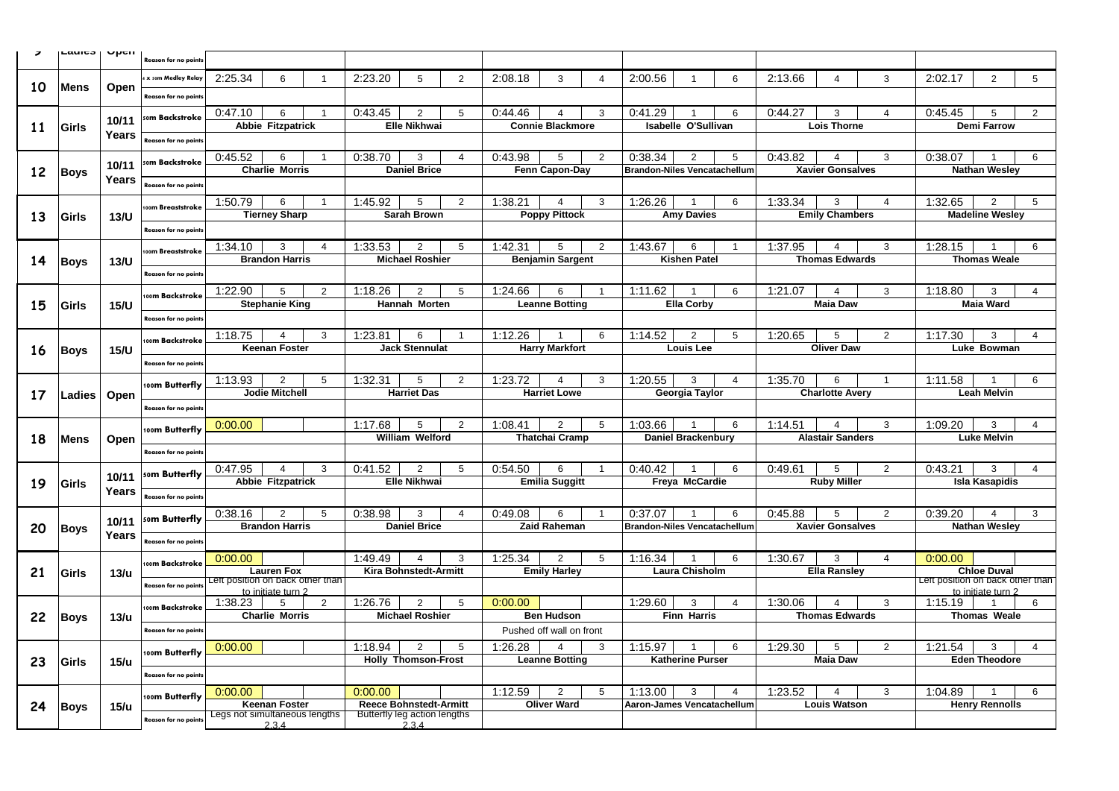| $\overline{\phantom{a}}$ | Lauicə   Upcii |              | <b>Reason for no points</b> |                                  |                                          |                |                                                               |                                       |                      |             |                                               |              |                                     |                            |                |             |                         |                       |                                  |                        |                 |
|--------------------------|----------------|--------------|-----------------------------|----------------------------------|------------------------------------------|----------------|---------------------------------------------------------------|---------------------------------------|----------------------|-------------|-----------------------------------------------|--------------|-------------------------------------|----------------------------|----------------|-------------|-------------------------|-----------------------|----------------------------------|------------------------|-----------------|
|                          |                |              | <b>x som Medley Relay</b>   | 2:25.34                          |                                          |                | 2:23.20                                                       | 5                                     | $\overline{2}$       | 2:08.18     | 3                                             |              | 2:00.56                             |                            | 6              | 2:13.66     |                         | $\mathbf{3}$          | 2:02.17                          | $\overline{2}$         | $5^{\circ}$     |
| <b>10</b>                | <b>Mens</b>    | Open         | <b>Reason for no points</b> |                                  |                                          |                |                                                               |                                       |                      |             |                                               |              |                                     |                            |                |             |                         |                       |                                  |                        |                 |
|                          |                |              |                             | 0:47.10                          | 6                                        |                | 0:43.45                                                       |                                       | 5                    | 0:44.46     |                                               | 3            | 0:41.29                             |                            | -6             | 0:44.27     | 3                       |                       | 0:45.45                          |                        |                 |
| 11                       | Girls          | 10/11        | som Backstroke              |                                  | <b>Abbie Fitzpatrick</b>                 |                |                                                               | <b>Elle Nikhwai</b>                   |                      |             | <b>Connie Blackmore</b>                       |              |                                     | <b>Isabelle O'Sullivan</b> |                |             | <b>Lois Thorne</b>      |                       |                                  | <b>Demi Farrow</b>     |                 |
|                          |                | Years        | <b>Reason for no points</b> |                                  |                                          |                |                                                               |                                       |                      |             |                                               |              |                                     |                            |                |             |                         |                       |                                  |                        |                 |
|                          |                |              |                             | 0:45.52                          | 6                                        |                | 0:38.70                                                       | 3                                     |                      | 0:43.98     | 5                                             | 2            | 0:38.34                             | 2                          | .5             | 0:43.82     |                         | 3                     | 0:38.07                          |                        | 6               |
| 12                       | Boys           | 10/11        | som Backstroke              |                                  | <b>Charlie Morris</b>                    |                |                                                               | <b>Daniel Brice</b>                   |                      |             | Fenn Capon-Day                                |              | <b>Brandon-Niles Vencatachellum</b> |                            |                |             | <b>Xavier Gonsalves</b> |                       |                                  | <b>Nathan Wesley</b>   |                 |
|                          |                | Years        | <b>Reason for no points</b> |                                  |                                          |                |                                                               |                                       |                      |             |                                               |              |                                     |                            |                |             |                         |                       |                                  |                        |                 |
|                          |                |              | 100 <b>m Breaststroke</b>   | 1:50.79                          | 6                                        |                | 1:45.92                                                       | 5                                     | $\overline{2}$       | 1:38.21     | $\boldsymbol{\Delta}$                         | 3            | 1:26.26                             |                            | 6              | 1:33.34     | 3                       | $\boldsymbol{\Delta}$ | 1:32.65                          | $\overline{2}$         |                 |
| 13                       | Girls          | 13/U         |                             |                                  | <b>Tierney Sharp</b>                     |                |                                                               | <b>Sarah Brown</b>                    |                      |             | <b>Poppy Pittock</b>                          |              |                                     | <b>Amy Davies</b>          |                |             | <b>Emily Chambers</b>   |                       |                                  | <b>Madeline Wesley</b> |                 |
|                          |                |              | <b>Reason for no points</b> |                                  |                                          |                |                                                               |                                       |                      |             |                                               |              |                                     |                            |                |             |                         |                       |                                  |                        |                 |
|                          |                |              | 100 <b>m Breaststroke</b>   | 1:34.10                          | 3                                        |                | 1:33.53                                                       |                                       | 5                    | 1:42.31     | .5                                            | 2            | 1:43.67                             | 6                          |                | 1:37.95     |                         | 3                     | 1:28.15                          |                        |                 |
| 14                       | <b>Boys</b>    | <b>13/U</b>  |                             |                                  | <b>Brandon Harris</b>                    |                |                                                               | <b>Michael Roshier</b>                |                      |             | <b>Benjamin Sargent</b>                       |              |                                     | <b>Kishen Patel</b>        |                |             | <b>Thomas Edwards</b>   |                       |                                  | <b>Thomas Weale</b>    |                 |
|                          |                |              | <b>Reason for no points</b> |                                  |                                          |                |                                                               |                                       |                      |             |                                               |              |                                     |                            |                |             |                         |                       |                                  |                        |                 |
|                          |                |              | 100m Backstroke             | 1:22.90                          | 5<br><b>Stephanie King</b>               | 2              | 1:18.26                                                       | $\mathbf{2}^{\circ}$<br>Hannah Morten | 5                    | 1:24.66     | 6<br><b>Leanne Botting</b>                    |              | 1:11.62                             | <b>Ella Corby</b>          |                | 1:21.07     | <b>Maia Daw</b>         | 3                     | 1:18.80                          | 3<br><b>Maia Ward</b>  |                 |
| 15                       | Girls          | <b>15/U</b>  | <b>Reason for no points</b> |                                  |                                          |                |                                                               |                                       |                      |             |                                               |              |                                     |                            |                |             |                         |                       |                                  |                        |                 |
|                          |                |              |                             | 1:18.75                          |                                          | 3              | 1:23.81                                                       | 6                                     |                      | 1:12.26     |                                               | 6.           | 1:14.52                             | 2                          |                | 1:20.65     | 5                       | $\mathbf{2}$          | 1:17.30                          | 3                      |                 |
| <b>16</b>                | <b>Boys</b>    | <b>15/U</b>  | 100m Backstroke             |                                  | <b>Keenan Foster</b>                     |                |                                                               | <b>Jack Stennulat</b>                 |                      |             | <b>Harry Markfort</b>                         |              |                                     | <b>Louis Lee</b>           |                |             | <b>Oliver Daw</b>       |                       |                                  | Luke Bowman            |                 |
|                          |                |              | <b>Reason for no points</b> |                                  |                                          |                |                                                               |                                       |                      |             |                                               |              |                                     |                            |                |             |                         |                       |                                  |                        |                 |
|                          |                |              | 100m Butterfly              | 1:13.93                          | $\overline{2}$                           | 5              | 1:32.31                                                       | 5                                     | $\mathbf{2}^{\circ}$ | 1:23.72     |                                               | 3            | 1:20.55                             | 3                          |                | 1:35.70     | 6.                      |                       | 1:11.58                          |                        | 6               |
|                          |                |              |                             |                                  |                                          |                |                                                               |                                       |                      |             |                                               |              |                                     |                            |                |             |                         |                       |                                  |                        |                 |
| 17                       | Ladies         | Open         |                             |                                  | <b>Jodie Mitchell</b>                    |                |                                                               | <b>Harriet Das</b>                    |                      |             | <b>Harriet Lowe</b>                           |              |                                     | <b>Georgia Taylor</b>      |                |             | <b>Charlotte Avery</b>  |                       |                                  | <b>Leah Melvin</b>     |                 |
|                          |                |              | <b>Reason for no points</b> |                                  |                                          |                |                                                               |                                       |                      |             |                                               |              |                                     |                            |                |             |                         |                       |                                  |                        |                 |
|                          |                |              | 100m Butterfly              | 0:00.00                          |                                          |                | 1:17.68                                                       | 5                                     | $\overline{2}$       | 1:08.41     | $\overline{2}$                                | 5            | 1:03.66                             |                            | 6              | 1:14.51     |                         | 3                     | 1:09.20                          | 3                      | 4               |
| 18                       | <b>Mens</b>    | Open         |                             |                                  |                                          |                |                                                               | <b>William Welford</b>                |                      |             | <b>Thatchai Cramp</b>                         |              |                                     | <b>Daniel Brackenbury</b>  |                |             | <b>Alastair Sanders</b> |                       |                                  | <b>Luke Melvin</b>     |                 |
|                          |                |              | Reason for no points        |                                  |                                          |                |                                                               |                                       |                      |             |                                               |              |                                     |                            |                |             |                         |                       |                                  |                        |                 |
|                          |                | 10/11        | som Butterfly               | $0:47.95$ 4                      | <b>Abbie Fitzpatrick</b>                 |                | $3 \mid 0.41.52 \mid 2 \mid 5$                                | <b>Elle Nikhwai</b>                   |                      | $0:54.50$ 6 | <b>Emilia Suggitt</b>                         |              | $1 \t 0.40.42 \t 1$                 | Freya McCardie             | $\overline{6}$ | $0:49.61$ 5 | <b>Ruby Miller</b>      | $\overline{2}$        | $0:43.21$ 3                      | <b>Isla Kasapidis</b>  |                 |
| 19                       | Girls          | <b>Years</b> | <b>Reason for no points</b> |                                  |                                          |                |                                                               |                                       |                      |             |                                               |              |                                     |                            |                |             |                         |                       |                                  |                        |                 |
|                          |                |              |                             | 0:38.16                          |                                          | 5              | 0:38.98                                                       | 3                                     |                      | 0:49.08     | 6                                             |              | 0:37.07                             |                            | 6              | 0:45.88     | 5                       | $\overline{2}$        | 0:39.20                          |                        | 3 <sup>1</sup>  |
| 20                       | Boys           | 10/11        | som Butterfly               |                                  | <b>Brandon Harris</b>                    |                |                                                               | <b>Daniel Brice</b>                   |                      |             | <b>Zaid Raheman</b>                           |              | <b>Brandon-Niles Vencatachellum</b> |                            |                |             | <b>Xavier Gonsalves</b> |                       |                                  | <b>Nathan Wesley</b>   |                 |
|                          |                | Years I      | <b>Reason for no points</b> |                                  |                                          |                |                                                               |                                       |                      |             |                                               |              |                                     |                            |                |             |                         |                       |                                  |                        |                 |
|                          |                |              | 100m Backstroke             | 0:00.00                          |                                          |                | 1:49.49                                                       |                                       | 3                    | 1:25.34     | $\overline{2}$                                | 5            | 1:16.34                             |                            | 6              | 1:30.67     | 3                       | 4                     | 0:00.00                          |                        |                 |
| 21                       | Girls          | 13/u         |                             | Left position on back other than | <b>Lauren Fox</b>                        |                |                                                               | <b>Kira Bohnstedt-Armitt</b>          |                      |             | <b>Emily Harley</b>                           |              |                                     | <b>Laura Chisholm</b>      |                |             | <b>Ella Ransley</b>     |                       | Left position on back other than | <b>Chloe Duval</b>     |                 |
|                          |                |              | <b>Reason for no points</b> |                                  | to initiate turn 2                       |                |                                                               |                                       |                      |             |                                               |              |                                     |                            |                |             |                         |                       |                                  | to initiate turn 2     |                 |
|                          |                |              | 100m Backstroke             | 1:38.23                          | $5\overline{)}$<br><b>Charlie Morris</b> | $\overline{2}$ | 1:26.76                                                       | $\overline{2}$                        | 5                    | 0:00.00     |                                               |              | 1:29.60                             | 3                          |                | 1:30.06     | <b>Thomas Edwards</b>   | 3                     | 1:15.19                          |                        | 6               |
| 22                       | <b>Boys</b>    | 13/u         | <b>Reason for no points</b> |                                  |                                          |                |                                                               | <b>Michael Roshier</b>                |                      |             | <b>Ben Hudson</b><br>Pushed off wall on front |              |                                     | <b>Finn Harris</b>         |                |             |                         |                       |                                  | <b>Thomas Weale</b>    |                 |
|                          |                |              |                             | 0:00.00                          |                                          |                | 1:18.94                                                       | $\overline{2}$                        | $5\overline{)}$      | 1:26.28     | $\overline{4}$                                | $\mathbf{3}$ | 1:15.97                             |                            | 6              |             | 5                       | $\overline{2}$        |                                  | $\mathbf{3}$           | 4               |
| 23                       | Girls          | 15/u         | 100m Butterfly              |                                  |                                          |                |                                                               | <b>Holly Thomson-Frost</b>            |                      |             | <b>Leanne Botting</b>                         |              |                                     | <b>Katherine Purser</b>    |                | 1:29.30     | <b>Maia Daw</b>         |                       | 1:21.54                          | <b>Eden Theodore</b>   |                 |
|                          |                |              | <b>Reason for no points</b> |                                  |                                          |                |                                                               |                                       |                      |             |                                               |              |                                     |                            |                |             |                         |                       |                                  |                        |                 |
|                          |                |              | 100m Butterfly              | 0:00.00                          |                                          |                | 0:00.00                                                       |                                       |                      | 1:12.59     | $\overline{2}$                                | 5            | 1:13.00                             | $\mathbf{3}$               |                | 1:23.52     |                         | $\mathbf{3}$          | 1:04.89                          |                        | $6\overline{6}$ |
| 24                       | Boys           | 15/u         | <b>Reason for no points</b> | Legs not simultaneous lengths    | <b>Keenan Foster</b>                     |                | <b>Reece Bohnstedt-Armitt</b><br>Butterfly leg action lengths |                                       |                      |             | <b>Oliver Ward</b>                            |              | Aaron-James Vencatachellum          |                            |                |             | <b>Louis Watson</b>     |                       |                                  | <b>Henry Rennolls</b>  |                 |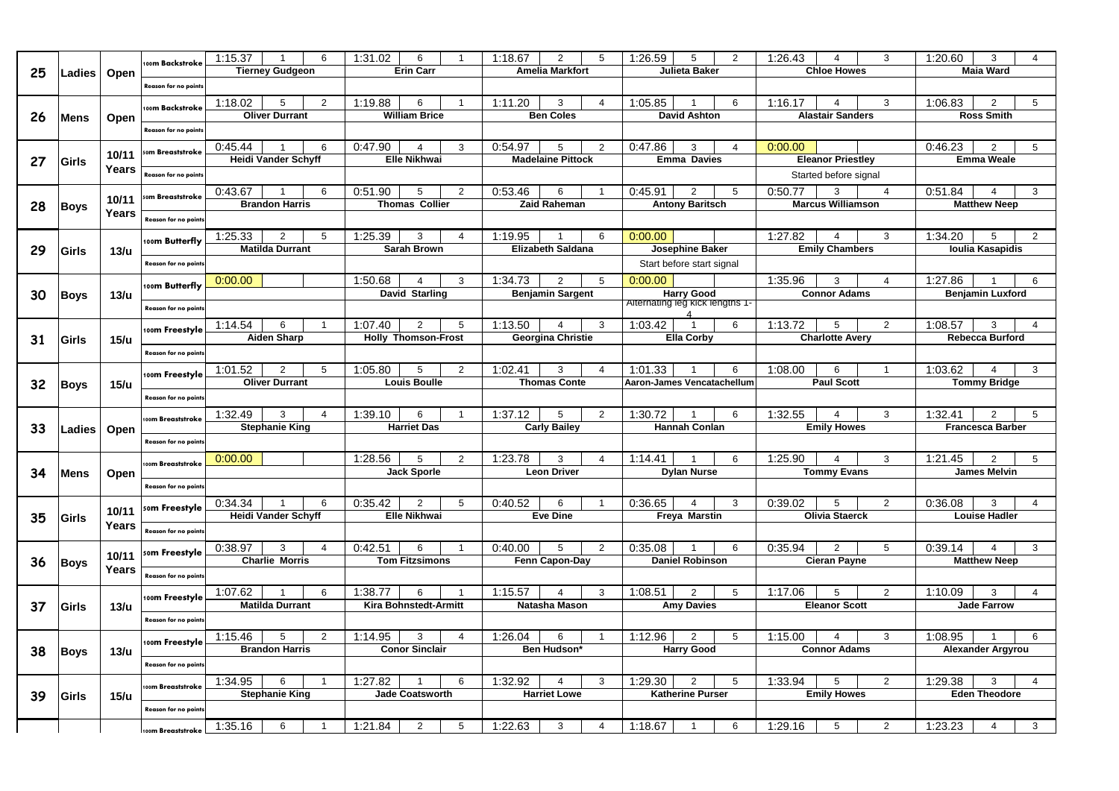|    |               |              | 100m Backstroke             | 1:15.37 |                            | 6              | 1:31.02 |                              |                 | 1:18.67 |                          | 5                    | :26.59                                               |                     | 1:26.43 |                          | 3               | 1:20.60 | 3                        |                |
|----|---------------|--------------|-----------------------------|---------|----------------------------|----------------|---------|------------------------------|-----------------|---------|--------------------------|----------------------|------------------------------------------------------|---------------------|---------|--------------------------|-----------------|---------|--------------------------|----------------|
| 25 | <b>Ladies</b> | Open         |                             |         | <b>Tierney Gudgeon</b>     |                |         | <b>Erin Carr</b>             |                 |         | <b>Amelia Markfort</b>   |                      | <b>Julieta Baker</b>                                 |                     |         | <b>Chloe Howes</b>       |                 |         | <b>Maia Ward</b>         |                |
|    |               |              | <b>Reason for no points</b> |         |                            |                |         |                              |                 |         |                          |                      |                                                      |                     |         |                          |                 |         |                          |                |
|    |               |              |                             | 1:18.02 | 5                          | $\overline{2}$ | 1:19.88 | 6                            |                 | 1:11.20 | 3                        |                      | 1:05.85                                              | -6                  | 1:16.17 |                          | 3               | 1:06.83 |                          | 5              |
| 26 | <b>Mens</b>   |              | 100 <b>m Backstroke</b>     |         | <b>Oliver Durrant</b>      |                |         | <b>William Brice</b>         |                 |         | <b>Ben Coles</b>         |                      | <b>David Ashton</b>                                  |                     |         | <b>Alastair Sanders</b>  |                 |         | <b>Ross Smith</b>        |                |
|    |               | Open         | <b>Reason for no points</b> |         |                            |                |         |                              |                 |         |                          |                      |                                                      |                     |         |                          |                 |         |                          |                |
|    |               |              |                             |         |                            |                |         |                              |                 |         |                          |                      |                                                      |                     |         |                          |                 |         |                          |                |
|    |               | 10/11        | រ <b>om Breaststroke</b>    | 0:45.44 |                            | 6              | 0:47.90 |                              | 3               | 0:54.97 |                          | $\overline{2}$       | 0:47.86                                              |                     | 0:00.00 |                          |                 | 0:46.23 |                          | 5              |
| 27 | Girls         | <b>Years</b> |                             |         | <b>Heidi Vander Schyff</b> |                |         | <b>Elle Nikhwai</b>          |                 |         | <b>Madelaine Pittock</b> |                      | <b>Emma Davies</b>                                   |                     |         | <b>Eleanor Priestley</b> |                 |         | <b>Emma Weale</b>        |                |
|    |               |              | <b>Reason for no points</b> |         |                            |                |         |                              |                 |         |                          |                      |                                                      |                     |         | Started before signal    |                 |         |                          |                |
|    |               |              | som Breaststroke            | 0:43.67 |                            | 6              | 0:51.90 | 5.                           | $\overline{2}$  | 0:53.46 | 6                        |                      | 0:45.91<br>$\overline{2}$                            | .5                  | 0:50.77 | 3                        | $\Delta$        | 0:51.84 |                          | 3              |
| 28 | Boys          | 10/11        |                             |         | <b>Brandon Harris</b>      |                |         | <b>Thomas Collier</b>        |                 |         | <b>Zaid Raheman</b>      |                      | <b>Antony Baritsch</b>                               |                     |         | <b>Marcus Williamson</b> |                 |         | <b>Matthew Neep</b>      |                |
|    |               | <b>Years</b> | Reason for no points        |         |                            |                |         |                              |                 |         |                          |                      |                                                      |                     |         |                          |                 |         |                          |                |
|    |               |              |                             | 1:25.33 | 2                          | 5              | 1:25.39 |                              |                 | 1:19.95 |                          | 6                    | 0:00.00                                              |                     | 1:27.82 |                          | 3               | 1:34.20 |                          | 2              |
| 29 | Girls         | 13/u         | 100m Butterfly              |         | <b>Matilda Durrant</b>     |                |         | <b>Sarah Brown</b>           |                 |         | <b>Elizabeth Saldana</b> |                      | <b>Josephine Baker</b>                               |                     |         | <b>Emily Chambers</b>    |                 |         | <b>Ioulia Kasapidis</b>  |                |
|    |               |              | <b>Reason for no points</b> |         |                            |                |         |                              |                 |         |                          |                      | Start before start signal                            |                     |         |                          |                 |         |                          |                |
|    |               |              |                             |         |                            |                |         |                              |                 |         |                          |                      |                                                      |                     |         |                          |                 |         |                          |                |
|    |               |              | 100m Butterfly              | 0:00.00 |                            |                | 1:50.68 |                              | 3               | 1:34.73 | 2                        | 5                    | 0:00.00                                              |                     | 1:35.96 | 3                        |                 | 1:27.86 |                          | 6              |
| 30 | <b>Boys</b>   | 13/u         |                             |         |                            |                |         | <b>David Starling</b>        |                 |         | <b>Benjamin Sargent</b>  |                      | <b>Harry Good</b><br>Alternating leg kick lengths 1- |                     |         | <b>Connor Adams</b>      |                 |         | <b>Benjamin Luxford</b>  |                |
|    |               |              | <b>Reason for no points</b> |         |                            |                |         |                              |                 |         |                          |                      |                                                      |                     |         |                          |                 |         |                          |                |
|    |               |              | 100m Freestyle              | 1:14.54 | 6                          |                | 1:07.40 | $\mathbf{2}^{\prime}$        | 5               | 1:13.50 |                          | 3                    | 1:03.42                                              | 6                   | 1:13.72 | 5.                       | 2               | 1:08.57 | 3                        |                |
| 31 | Girls         | 15/u         |                             |         | <b>Aiden Sharp</b>         |                |         | <b>Holly Thomson-Frost</b>   |                 |         | <b>Georgina Christie</b> |                      | <b>Ella Corby</b>                                    |                     |         | <b>Charlotte Avery</b>   |                 |         | <b>Rebecca Burford</b>   |                |
|    |               |              | <b>Reason for no points</b> |         |                            |                |         |                              |                 |         |                          |                      |                                                      |                     |         |                          |                 |         |                          |                |
|    |               |              |                             | 1:01.52 |                            | 5              | 1:05.80 |                              | $\overline{2}$  | 1:02.41 | 3                        |                      | 1:01.33                                              | -6                  | 1:08.00 |                          |                 | 1:03.62 |                          | 3              |
| 32 | <b>Boys</b>   |              | 100m Freestyle<br>15/u      |         | <b>Oliver Durrant</b>      |                |         | <b>Louis Boulle</b>          |                 |         | <b>Thomas Conte</b>      |                      | Aaron-James Vencatachellum                           |                     |         | <b>Paul Scott</b>        |                 |         | <b>Tommy Bridge</b>      |                |
|    |               |              | <b>Reason for no points</b> |         |                            |                |         |                              |                 |         |                          |                      |                                                      |                     |         |                          |                 |         |                          |                |
|    |               |              |                             | 1:32.49 | 3                          |                | 1:39.10 | 6                            |                 | 1:37.12 | 5                        | $\mathbf{2}^{\circ}$ | 1:30.72                                              | -6                  | 1:32.55 |                          | 3               | 1:32.41 |                          | 5              |
|    |               |              | 100 <b>m Breaststroke</b>   |         | <b>Stephanie King</b>      |                |         | <b>Harriet Das</b>           |                 |         | <b>Carly Bailey</b>      |                      | <b>Hannah Conlan</b>                                 |                     |         | <b>Emily Howes</b>       |                 |         | <b>Francesca Barber</b>  |                |
| 33 | <b>Ladies</b> | Open         |                             |         |                            |                |         |                              |                 |         |                          |                      |                                                      |                     |         |                          |                 |         |                          |                |
|    |               |              |                             |         |                            |                |         |                              |                 |         |                          |                      |                                                      |                     |         |                          |                 |         |                          |                |
|    |               |              | <b>Reason for no points</b> |         |                            |                |         |                              |                 |         |                          |                      |                                                      |                     |         |                          |                 |         |                          |                |
|    |               |              | 100m Breaststroke           | 0:00.00 |                            |                | 1:28.56 | 5                            | $\overline{2}$  | :23.78  | 3                        |                      | 1:14.41                                              | -6                  | 1:25.90 |                          | 3               | 1:21.45 | $\overline{2}$           | 5              |
| 34 | <b>Mens</b>   | Open         |                             |         |                            |                |         | <b>Jack Sporle</b>           |                 |         | <b>Leon Driver</b>       |                      | <b>Dylan Nurse</b>                                   |                     |         | <b>Tommy Evans</b>       |                 |         | <b>James Melvin</b>      |                |
|    |               |              | <b>Reason for no points</b> |         |                            |                |         |                              |                 |         |                          |                      |                                                      |                     |         |                          |                 |         |                          |                |
|    |               |              | som Freestyle               | 0:34.34 |                            | 6              | 0:35.42 | $\overline{2}$               | $5\phantom{.0}$ | 0:40.52 | 6                        |                      | 0:36.65                                              | 3                   | 0:39.02 | 5                        | $\overline{2}$  | 0:36.08 | 3                        | 4              |
| 35 | Girls         | 10/11        |                             |         | <b>Heidi Vander Schyff</b> |                |         | <b>Elle Nikhwai</b>          |                 |         | <b>Eve Dine</b>          |                      | <b>Freya Marstin</b>                                 |                     |         | <b>Olivia Staerck</b>    |                 |         | <b>Louise Hadler</b>     |                |
|    |               | <b>Years</b> | Reason for no points        |         |                            |                |         |                              |                 |         |                          |                      |                                                      |                     |         |                          |                 |         |                          |                |
|    |               |              |                             | 0:38.97 | 3                          |                | 0:42.51 | 6.                           |                 | 0:40.00 | 5                        | $\overline{2}$       | 0:35.08                                              | 6                   | 0:35.94 | $\overline{2}$           | $5\phantom{.0}$ | 0:39.14 |                          | $\mathbf{3}$   |
| 36 | <b>Boys</b>   | 10/11        | som Freestyle               |         | <b>Charlie Morris</b>      |                |         | <b>Tom Fitzsimons</b>        |                 |         | Fenn Capon-Day           |                      | <b>Daniel Robinson</b>                               |                     |         | <b>Cieran Payne</b>      |                 |         | <b>Matthew Neep</b>      |                |
|    |               | Years        | <b>Reason for no points</b> |         |                            |                |         |                              |                 |         |                          |                      |                                                      |                     |         |                          |                 |         |                          |                |
|    |               |              |                             | 1:07.62 |                            | 6              | 1:38.77 | 6                            |                 | 1:15.57 |                          | $\mathbf{3}$         | 1:08.51<br>$\overline{2}$                            | 5                   | 1:17.06 | 5                        | $\overline{2}$  | 1:10.09 | $\mathbf{3}$             | $\overline{4}$ |
|    |               |              | 100m Freestyle              |         | <b>Matilda Durrant</b>     |                |         | <b>Kira Bohnstedt-Armitt</b> |                 |         | Natasha Mason            |                      | <b>Amy Davies</b>                                    |                     |         | <b>Eleanor Scott</b>     |                 |         | <b>Jade Farrow</b>       |                |
| 37 | Girls         | 13/u         | <b>Reason for no points</b> |         |                            |                |         |                              |                 |         |                          |                      |                                                      |                     |         |                          |                 |         |                          |                |
|    |               |              |                             |         |                            |                |         |                              |                 |         |                          |                      |                                                      |                     |         |                          |                 |         |                          |                |
|    |               |              | 100m Freestyle              | 1:15.46 | 5                          | $\overline{2}$ | 1:14.95 | 3                            | 4               | 1:26.04 | 6                        |                      | 1:12.96                                              | $\overline{2}$<br>5 | 1:15.00 |                          | $\mathbf{3}$    | 1:08.95 |                          | 6              |
| 38 | Boys          | 13/u         |                             |         | <b>Brandon Harris</b>      |                |         | <b>Conor Sinclair</b>        |                 |         | <b>Ben Hudson*</b>       |                      | <b>Harry Good</b>                                    |                     |         | <b>Connor Adams</b>      |                 |         | <b>Alexander Argyrou</b> |                |
|    |               |              | <b>Reason for no points</b> |         |                            |                |         |                              |                 |         |                          |                      |                                                      |                     |         |                          |                 |         |                          |                |
|    |               |              | 100m Breaststroke           | 1:34.95 | 6                          |                | 1:27.82 |                              | 6               | 1:32.92 |                          | 3 <sup>1</sup>       | 1:29.30<br>$\overline{2}$                            | .5                  | 1:33.94 | 5                        | $\overline{2}$  | 1:29.38 | $\mathbf{3}$             | $\overline{4}$ |
| 39 | Girls         | 15/u         |                             |         | <b>Stephanie King</b>      |                |         | <b>Jade Coatsworth</b>       |                 |         | <b>Harriet Lowe</b>      |                      | <b>Katherine Purser</b>                              |                     |         | <b>Emily Howes</b>       |                 |         | <b>Eden Theodore</b>     |                |
|    |               |              | <b>Reason for no points</b> | 1:35.16 | 6                          |                | 1:21.84 | $\overline{2}$               | $5\overline{)}$ | 1:22.63 | $\mathbf{3}$             |                      | 1:18.67                                              | 6                   | 1:29.16 | 5                        | $\overline{2}$  | 1:23.23 |                          | 3 <sup>1</sup> |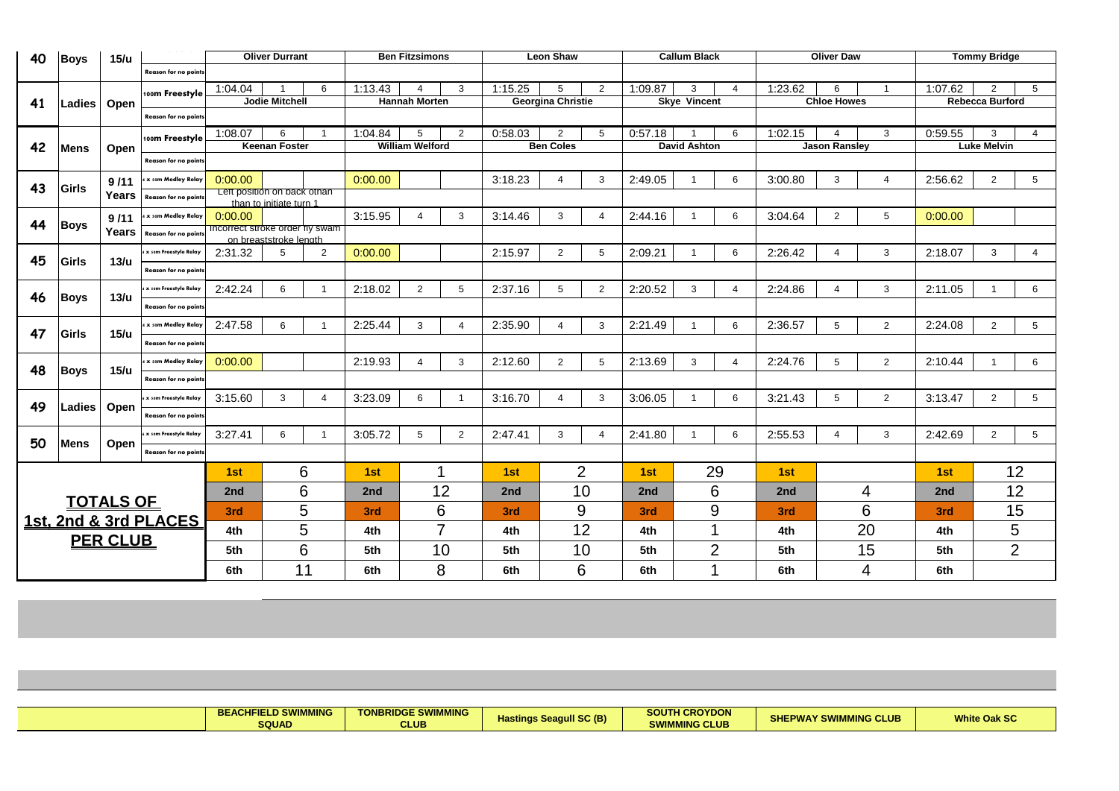| 40 | <b>Boys</b>     | 15/u             | _ _ ______ ___               |                                 | <b>Oliver Durrant</b>   |                |         | <b>Ben Fitzsimons</b>  |                |         | <b>Leon Shaw</b>         |                 |         | <b>Callum Black</b> |                |         | <b>Oliver Daw</b>    |                |         | <b>Tommy Bridge</b>    |                 |
|----|-----------------|------------------|------------------------------|---------------------------------|-------------------------|----------------|---------|------------------------|----------------|---------|--------------------------|-----------------|---------|---------------------|----------------|---------|----------------------|----------------|---------|------------------------|-----------------|
|    |                 |                  | <b>Reason for no points</b>  |                                 |                         |                |         |                        |                |         |                          |                 |         |                     |                |         |                      |                |         |                        |                 |
|    |                 |                  | 100m Freestyle               | 1:04.04                         |                         | 6              | 1:13.43 |                        | 3              | 1:15.25 | $5^{\circ}$              | 2               | 1:09.87 | 3                   |                | 1:23.62 | 6                    |                | 1:07.62 | $\overline{2}$         | 5               |
| 41 | <b>Ladies</b>   | Open             |                              |                                 | <b>Jodie Mitchell</b>   |                |         | <b>Hannah Morten</b>   |                |         | <b>Georgina Christie</b> |                 |         | <b>Skye Vincent</b> |                |         | <b>Chloe Howes</b>   |                |         | <b>Rebecca Burford</b> |                 |
|    |                 |                  | <b>Reason for no points</b>  |                                 |                         |                |         |                        |                |         |                          |                 |         |                     |                |         |                      |                |         |                        |                 |
|    |                 |                  | 100m Freestyle               | 1:08.07                         | $6^{\circ}$             |                | 1:04.84 | 5                      | $\overline{2}$ | 0:58.03 | $\overline{2}$           | 5               | 0:57.18 |                     | 6              | 1:02.15 | 4                    | 3              | 0:59.55 | 3                      |                 |
| 42 | <b>Mens</b>     | Open             |                              |                                 | <b>Keenan Foster</b>    |                |         | <b>William Welford</b> |                |         | <b>Ben Coles</b>         |                 |         | <b>David Ashton</b> |                |         | <b>Jason Ransley</b> |                |         | <b>Luke Melvin</b>     |                 |
|    |                 |                  | Reason for no points         |                                 |                         |                |         |                        |                |         |                          |                 |         |                     |                |         |                      |                |         |                        |                 |
|    |                 | 9/11             | 4 x som Medley Relay         | 0:00.00                         |                         |                | 0:00.00 |                        |                | 3:18.23 |                          | $\mathbf{3}$    | 2:49.05 |                     | 6              | 3:00.80 | 3                    | 4              | 2:56.62 | $\overline{2}$         | 5 <sup>5</sup>  |
| 43 | Girls           |                  | Years   Reason for no points | Left position on back othan     |                         |                |         |                        |                |         |                          |                 |         |                     |                |         |                      |                |         |                        |                 |
|    |                 |                  |                              | 0:00.00                         | than to initiate turn 1 |                | 3:15.95 |                        |                | 3:14.46 | 3                        |                 | 2:44.16 |                     |                | 3:04.64 |                      |                | 0:00.00 |                        |                 |
| 44 | Boys            |                  | $9/11$ 4 x som Medley Relay  | Incorrect stroke order fly swam |                         |                |         |                        | 3              |         |                          | 4               |         |                     | 6              |         | $\overline{2}$       | 5              |         |                        |                 |
|    |                 |                  | Years   Reason for no points |                                 | on breaststroke length  |                |         |                        |                |         |                          |                 |         |                     |                |         |                      |                |         |                        |                 |
| 45 | <b>Girls</b>    | 13/u             | x som Freestyle Relay        | 2:31.32                         | 5                       | $\overline{2}$ | 0:00.00 |                        |                | 2:15.97 | $\overline{2}$           | $5\overline{)}$ | 2:09.21 |                     | 6              | 2:26.42 | Δ                    | 3              | 2:18.07 | $\mathbf{3}$           | 4               |
|    |                 |                  | <b>Reason for no points</b>  |                                 |                         |                |         |                        |                |         |                          |                 |         |                     |                |         |                      |                |         |                        |                 |
|    |                 |                  | x som Freestyle Relay        | 2:42.24                         | 6                       |                | 2:18.02 | 2                      | 5              | 2:37.16 |                          | $\overline{2}$  | 2:20.52 | 3                   |                | 2:24.86 |                      | 3              | 2:11.05 |                        | 6               |
| 46 | <b>Boys</b>     | 13/u             | <b>Reason for no points</b>  |                                 |                         |                |         |                        |                |         |                          |                 |         |                     |                |         |                      |                |         |                        |                 |
|    |                 |                  | 4 x som Medley Relay         | 2:47.58                         | 6                       |                | 2:25.44 | 3                      |                | 2:35.90 |                          | $\mathbf{3}$    | 2:21.49 |                     | 6              | 2:36.57 | 5                    | 2              | 2:24.08 | $\overline{2}$         | 5 <sub>5</sub>  |
| 47 | Girls           | <b>15/u</b>      | <b>Reason for no points</b>  |                                 |                         |                |         |                        |                |         |                          |                 |         |                     |                |         |                      |                |         |                        |                 |
|    |                 |                  | 4 x som Medley Relay         | 0:00.00                         |                         |                | 2:19.93 |                        | 3              | 2:12.60 | $\overline{2}$           | $5\phantom{.0}$ | 2:13.69 |                     |                | 2:24.76 | 5                    | $\overline{2}$ | 2:10.44 |                        | $6\phantom{.}6$ |
| 48 | Boys            | 15/u             | <b>Reason for no points</b>  |                                 |                         |                |         |                        |                |         |                          |                 |         |                     |                |         |                      |                |         |                        |                 |
|    |                 |                  | x som Freestyle Relay        | 3:15.60                         | $\mathbf{3}$            | $\overline{4}$ | 3:23.09 | 6                      |                | 3:16.70 |                          | $\mathbf{3}$    | 3:06.05 |                     | 6              | 3:21.43 | 5                    | $\overline{2}$ | 3:13.47 | $\overline{2}$         | $5\phantom{.0}$ |
| 49 | Ladies          | Open             | Reason for no points         |                                 |                         |                |         |                        |                |         |                          |                 |         |                     |                |         |                      |                |         |                        |                 |
|    |                 |                  | s x som Freestyle Relay      | 3:27.41                         |                         |                | 3:05.72 | 5                      | $\overline{2}$ | 2:47.41 | 3                        |                 | 2:41.80 |                     | 6              | 2:55.53 |                      | $\mathbf{3}$   | 2:42.69 | $\overline{2}$         | 5               |
| 50 | <b>Mens</b>     | Open             | <b>Reason for no points</b>  |                                 |                         |                |         |                        |                |         |                          |                 |         |                     |                |         |                      |                |         |                        |                 |
|    |                 |                  |                              | 1st                             |                         | 6              | 1st     |                        |                | 1st     |                          | $\overline{2}$  | 1st     |                     | 29             | 1st     |                      |                | 1st     |                        | 12              |
|    |                 |                  |                              | 2nd                             |                         | 6              | 2nd     |                        | 12             | 2nd     |                          | 10              | 2nd     |                     | 6              | 2nd     |                      | 4              | 2nd     |                        | 12              |
|    |                 | <b>TOTALS OF</b> |                              |                                 |                         |                |         |                        |                |         |                          |                 |         |                     |                |         |                      |                |         |                        |                 |
|    |                 |                  | 1st, 2nd & 3rd PLACES        | 3rd                             |                         | 5              | 3rd     |                        | 6              | 3rd     |                          | 9               | 3rd     |                     | 9              | 3rd     |                      | 6              | 3rd     |                        | 15              |
|    |                 |                  |                              | 4th                             |                         | 5              | 4th     |                        | $\overline{7}$ | 4th     |                          | 12              | 4th     |                     |                | 4th     |                      | 20             | 4th     |                        | 5               |
|    | <b>PER CLUB</b> |                  |                              | 5th                             |                         | 6              | 5th     |                        | 10             | 5th     |                          | 10              | 5th     |                     | $\overline{2}$ | 5th     |                      | 15             | 5th     |                        | $\overline{2}$  |
|    |                 |                  |                              | 6th                             |                         | 11             | 6th     |                        | 8              | 6th     |                          | 6               | 6th     |                     |                | 6th     |                      | 4              | 6th     |                        |                 |

| <b>BEACHFIELD SWIMMING</b><br><b>SQUAD</b> | <b>TONBRIDGE SWIMMING</b><br><b>CLUB</b> | <b>Hastings Seagull SC (B)</b> | <b>SOUTH CROYDON</b><br><b>"MMING CLUB</b><br>ow | <b>SHEPWAY SWIMMING CLUB</b> | Mh14a<br><b>White Oak SC</b> |
|--------------------------------------------|------------------------------------------|--------------------------------|--------------------------------------------------|------------------------------|------------------------------|
|                                            |                                          |                                |                                                  |                              |                              |